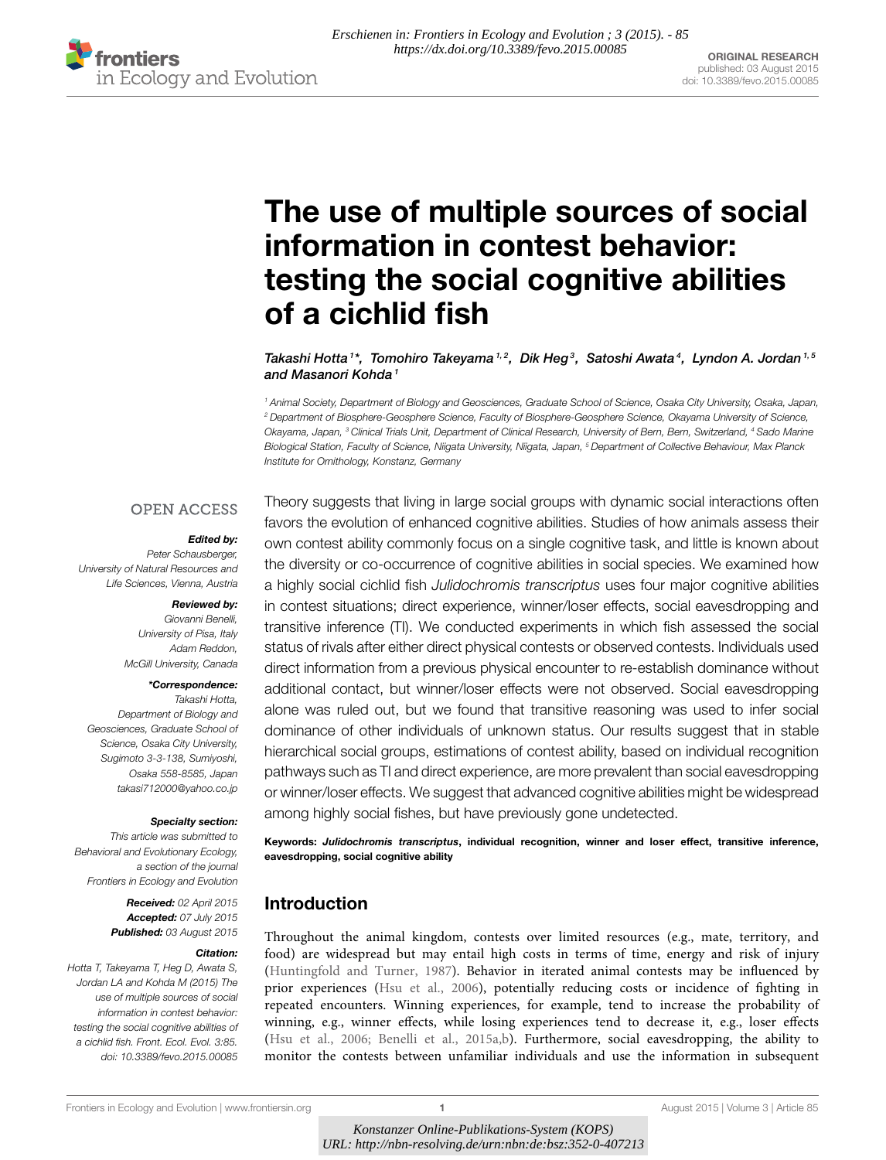

# [The use of multiple sources of social](http://journal.frontiersin.org/article/10.3389/fevo.2015.00085/abstract) information in contest behavior: testing the social cognitive abilities of a cichlid fish

[Takashi Hotta](http://loop.frontiersin.org/people/220734/overview)<sup>1\*</sup>,  [Tomohiro Takeyama](http://loop.frontiersin.org/people/236318/overview)<sup>1,2</sup>, Dik Heg<sup>3</sup>,  [Satoshi Awata](http://loop.frontiersin.org/people/227409/overview)<sup>4</sup>,  [Lyndon A. Jordan](http://loop.frontiersin.org/people/119266/overview)<sup>1,5</sup> and [Masanori Kohda](http://loop.frontiersin.org/people/234012/overview)<sup>1</sup>

*<sup>1</sup> Animal Society, Department of Biology and Geosciences, Graduate School of Science, Osaka City University, Osaka, Japan, <sup>2</sup> Department of Biosphere-Geosphere Science, Faculty of Biosphere-Geosphere Science, Okayama University of Science, Okayama, Japan, <sup>3</sup> Clinical Trials Unit, Department of Clinical Research, University of Bern, Bern, Switzerland, <sup>4</sup> Sado Marine Biological Station, Faculty of Science, Niigata University, Niigata, Japan, <sup>5</sup> Department of Collective Behaviour, Max Planck Institute for Ornithology, Konstanz, Germany*

### **OPEN ACCESS**

#### Edited by:

*Peter Schausberger, University of Natural Resources and Life Sciences, Vienna, Austria*

#### Reviewed by:

*Giovanni Benelli, University of Pisa, Italy Adam Reddon, McGill University, Canada*

#### \*Correspondence:

*Takashi Hotta, Department of Biology and Geosciences, Graduate School of Science, Osaka City University, Sugimoto 3-3-138, Sumiyoshi, Osaka 558-8585, Japan [takasi712000@yahoo.co.jp](mailto:takasi712000@yahoo.co.jp)*

#### Specialty section:

*This article was submitted to Behavioral and Evolutionary Ecology, a section of the journal Frontiers in Ecology and Evolution*

> Received: *02 April 2015* Accepted: *07 July 2015* Published: *03 August 2015*

#### Citation:

*Hotta T, Takeyama T, Heg D, Awata S, Jordan LA and Kohda M (2015) The use of multiple sources of social information in contest behavior: testing the social cognitive abilities of a cichlid fish. Front. Ecol. Evol. 3:85. doi: [10.3389/fevo.2015.00085](http://dx.doi.org/10.3389/fevo.2015.00085)*

Theory suggests that living in large social groups with dynamic social interactions often favors the evolution of enhanced cognitive abilities. Studies of how animals assess their own contest ability commonly focus on a single cognitive task, and little is known about the diversity or co-occurrence of cognitive abilities in social species. We examined how a highly social cichlid fish *Julidochromis transcriptus* uses four major cognitive abilities in contest situations; direct experience, winner/loser effects, social eavesdropping and transitive inference (TI). We conducted experiments in which fish assessed the social status of rivals after either direct physical contests or observed contests. Individuals used direct information from a previous physical encounter to re-establish dominance without additional contact, but winner/loser effects were not observed. Social eavesdropping alone was ruled out, but we found that transitive reasoning was used to infer social dominance of other individuals of unknown status. Our results suggest that in stable hierarchical social groups, estimations of contest ability, based on individual recognition pathways such as TI and direct experience, are more prevalent than social eavesdropping or winner/loser effects. We suggest that advanced cognitive abilities might be widespread among highly social fishes, but have previously gone undetected.

Keywords: Julidochromis transcriptus, individual recognition, winner and loser effect, transitive inference, eavesdropping, social cognitive ability

## Introduction

Throughout the animal kingdom, contests over limited resources (e.g., mate, territory, and food) are widespread but may entail high costs in terms of time, energy and risk of injury [\(Huntingfold and Turner, 1987\)](#page-7-0). Behavior in iterated animal contests may be influenced by prior experiences [\(Hsu et al., 2006\)](#page-7-1), potentially reducing costs or incidence of fighting in repeated encounters. Winning experiences, for example, tend to increase the probability of winning, e.g., winner effects, while losing experiences tend to decrease it, e.g., loser effects [\(Hsu et al., 2006;](#page-7-1) [Benelli et al., 2015a](#page-7-2)[,b\)](#page-7-3). Furthermore, social eavesdropping, the ability to monitor the contests between unfamiliar individuals and use the information in subsequent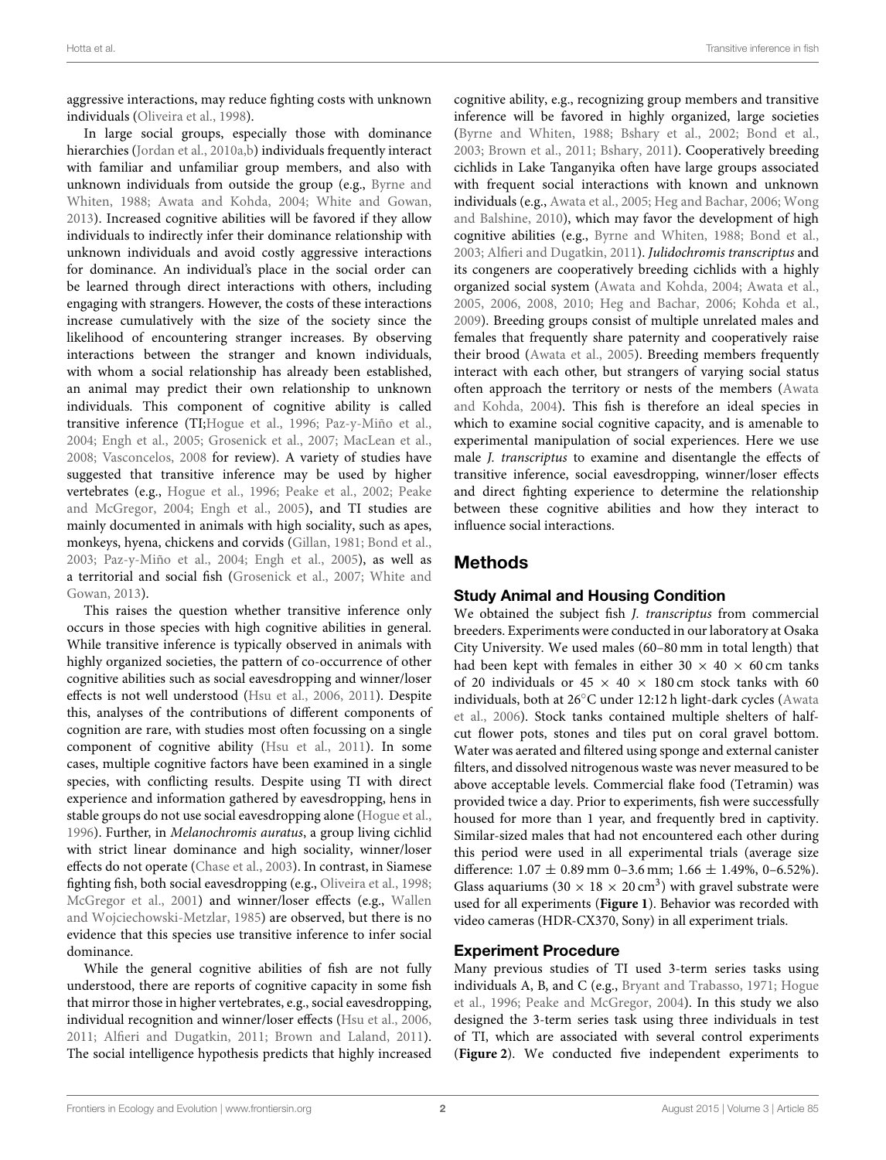aggressive interactions, may reduce fighting costs with unknown individuals [\(Oliveira et al., 1998\)](#page-7-4).

In large social groups, especially those with dominance hierarchies [\(Jordan et al., 2010a,](#page-7-5)[b\)](#page-7-6) individuals frequently interact with familiar and unfamiliar group members, and also with unknown individuals from outside the group (e.g., Byrne and Whiten, [1988;](#page-7-7) [Awata and Kohda, 2004;](#page-6-0) [White and Gowan,](#page-8-0) [2013\)](#page-8-0). Increased cognitive abilities will be favored if they allow individuals to indirectly infer their dominance relationship with unknown individuals and avoid costly aggressive interactions for dominance. An individual's place in the social order can be learned through direct interactions with others, including engaging with strangers. However, the costs of these interactions increase cumulatively with the size of the society since the likelihood of encountering stranger increases. By observing interactions between the stranger and known individuals, with whom a social relationship has already been established, an animal may predict their own relationship to unknown individuals. This component of cognitive ability is called transitive inference (TI[;Hogue et al., 1996;](#page-7-8) [Paz-y-Miño et al.,](#page-8-1) [2004;](#page-8-1) [Engh et al., 2005;](#page-7-9) [Grosenick et al., 2007;](#page-7-10) [MacLean et al.,](#page-7-11) [2008;](#page-7-11) [Vasconcelos, 2008](#page-8-2) for review). A variety of studies have suggested that transitive inference may be used by higher vertebrates (e.g., [Hogue et al., 1996;](#page-7-8) [Peake et al., 2002;](#page-8-3) Peake and McGregor, [2004;](#page-8-4) [Engh et al., 2005\)](#page-7-9), and TI studies are mainly documented in animals with high sociality, such as apes, monkeys, hyena, chickens and corvids [\(Gillan, 1981;](#page-7-12) [Bond et al.,](#page-7-13) [2003;](#page-7-13) [Paz-y-Miño et al., 2004;](#page-8-1) [Engh et al., 2005\)](#page-7-9), as well as a territorial and social fish [\(Grosenick et al., 2007;](#page-7-10) White and Gowan, [2013\)](#page-8-0).

This raises the question whether transitive inference only occurs in those species with high cognitive abilities in general. While transitive inference is typically observed in animals with highly organized societies, the pattern of co-occurrence of other cognitive abilities such as social eavesdropping and winner/loser effects is not well understood [\(Hsu et al., 2006,](#page-7-1) [2011\)](#page-7-14). Despite this, analyses of the contributions of different components of cognition are rare, with studies most often focussing on a single component of cognitive ability [\(Hsu et al., 2011\)](#page-7-14). In some cases, multiple cognitive factors have been examined in a single species, with conflicting results. Despite using TI with direct experience and information gathered by eavesdropping, hens in stable groups do not use social eavesdropping alone [\(Hogue et al.,](#page-7-8) [1996\)](#page-7-8). Further, in Melanochromis auratus, a group living cichlid with strict linear dominance and high sociality, winner/loser effects do not operate [\(Chase et al., 2003\)](#page-7-15). In contrast, in Siamese fighting fish, both social eavesdropping (e.g., [Oliveira et al., 1998;](#page-7-4) [McGregor et al., 2001\)](#page-7-16) and winner/loser effects (e.g., Wallen and Wojciechowski-Metzlar, [1985\)](#page-8-5) are observed, but there is no evidence that this species use transitive inference to infer social dominance.

While the general cognitive abilities of fish are not fully understood, there are reports of cognitive capacity in some fish that mirror those in higher vertebrates, e.g., social eavesdropping, individual recognition and winner/loser effects [\(Hsu et al., 2006,](#page-7-1) [2011;](#page-7-14) [Alfieri and Dugatkin, 2011;](#page-6-1) [Brown and Laland, 2011\)](#page-7-17). The social intelligence hypothesis predicts that highly increased cognitive ability, e.g., recognizing group members and transitive inference will be favored in highly organized, large societies [\(Byrne and Whiten, 1988;](#page-7-7) [Bshary et al., 2002;](#page-7-18) [Bond et al.,](#page-7-13) [2003;](#page-7-13) [Brown et al., 2011;](#page-7-19) [Bshary, 2011\)](#page-7-20). Cooperatively breeding cichlids in Lake Tanganyika often have large groups associated with frequent social interactions with known and unknown individuals (e.g., [Awata et al., 2005;](#page-6-2) [Heg and Bachar, 2006;](#page-7-21) Wong and Balshine, [2010\)](#page-8-6), which may favor the development of high cognitive abilities (e.g., [Byrne and Whiten, 1988;](#page-7-7) [Bond et al.,](#page-7-13) [2003;](#page-7-13) [Alfieri and Dugatkin, 2011\)](#page-6-1). Julidochromis transcriptus and its congeners are cooperatively breeding cichlids with a highly organized social system [\(Awata and Kohda, 2004;](#page-6-0) [Awata et al.,](#page-6-2) [2005,](#page-6-2) [2006,](#page-6-3) [2008,](#page-6-4) [2010;](#page-6-5) [Heg and Bachar, 2006;](#page-7-21) [Kohda et al.,](#page-7-22) [2009\)](#page-7-22). Breeding groups consist of multiple unrelated males and females that frequently share paternity and cooperatively raise their brood [\(Awata et al., 2005\)](#page-6-2). Breeding members frequently interact with each other, but strangers of varying social status often approach the territory or nests of the members (Awata and Kohda, [2004\)](#page-6-0). This fish is therefore an ideal species in which to examine social cognitive capacity, and is amenable to experimental manipulation of social experiences. Here we use male J. transcriptus to examine and disentangle the effects of transitive inference, social eavesdropping, winner/loser effects and direct fighting experience to determine the relationship between these cognitive abilities and how they interact to influence social interactions.

# Methods

# Study Animal and Housing Condition

We obtained the subject fish J. transcriptus from commercial breeders. Experiments were conducted in our laboratory at Osaka City University. We used males (60–80 mm in total length) that had been kept with females in either  $30 \times 40 \times 60$  cm tanks of 20 individuals or  $45 \times 40 \times 180$  cm stock tanks with 60 individuals, both at 26◦C under 12:12 h light-dark cycles (Awata et al., [2006\)](#page-6-3). Stock tanks contained multiple shelters of halfcut flower pots, stones and tiles put on coral gravel bottom. Water was aerated and filtered using sponge and external canister filters, and dissolved nitrogenous waste was never measured to be above acceptable levels. Commercial flake food (Tetramin) was provided twice a day. Prior to experiments, fish were successfully housed for more than 1 year, and frequently bred in captivity. Similar-sized males that had not encountered each other during this period were used in all experimental trials (average size difference:  $1.07 \pm 0.89$  mm 0-3.6 mm;  $1.66 \pm 1.49$ %, 0-6.52%). Glass aquariums (30  $\times$  18  $\times$  20 cm<sup>3</sup>) with gravel substrate were used for all experiments (**[Figure 1](#page-2-0)**). Behavior was recorded with video cameras (HDR-CX370, Sony) in all experiment trials.

# Experiment Procedure

Many previous studies of TI used 3-term series tasks using individuals A, B, and C (e.g., [Bryant and Trabasso, 1971;](#page-7-23) Hogue et al., [1996;](#page-7-8) [Peake and McGregor, 2004\)](#page-8-4). In this study we also designed the 3-term series task using three individuals in test of TI, which are associated with several control experiments (**[Figure 2](#page-2-1)**). We conducted five independent experiments to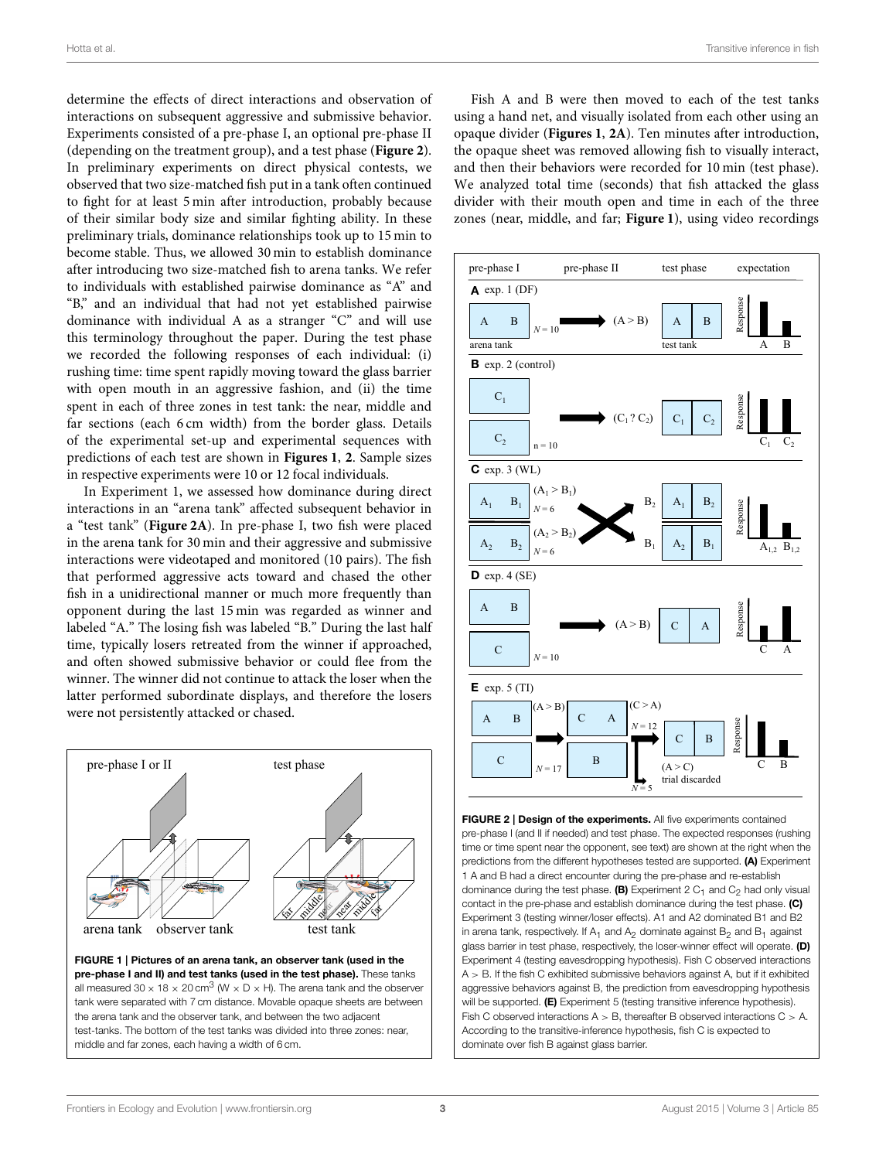determine the effects of direct interactions and observation of interactions on subsequent aggressive and submissive behavior. Experiments consisted of a pre-phase I, an optional pre-phase II (depending on the treatment group), and a test phase (**[Figure 2](#page-2-1)**). In preliminary experiments on direct physical contests, we observed that two size-matched fish put in a tank often continued to fight for at least 5 min after introduction, probably because of their similar body size and similar fighting ability. In these preliminary trials, dominance relationships took up to 15 min to become stable. Thus, we allowed 30 min to establish dominance after introducing two size-matched fish to arena tanks. We refer to individuals with established pairwise dominance as "A" and "B," and an individual that had not yet established pairwise dominance with individual A as a stranger "C" and will use this terminology throughout the paper. During the test phase we recorded the following responses of each individual: (i) rushing time: time spent rapidly moving toward the glass barrier with open mouth in an aggressive fashion, and (ii) the time spent in each of three zones in test tank: the near, middle and far sections (each 6 cm width) from the border glass. Details of the experimental set-up and experimental sequences with predictions of each test are shown in **[Figures 1](#page-2-0)**, **[2](#page-2-1)**. Sample sizes in respective experiments were 10 or 12 focal individuals.

In Experiment 1, we assessed how dominance during direct interactions in an "arena tank" affected subsequent behavior in a "test tank" (**[Figure 2A](#page-2-1)**). In pre-phase I, two fish were placed in the arena tank for 30 min and their aggressive and submissive interactions were videotaped and monitored (10 pairs). The fish that performed aggressive acts toward and chased the other fish in a unidirectional manner or much more frequently than opponent during the last 15 min was regarded as winner and labeled "A." The losing fish was labeled "B." During the last half time, typically losers retreated from the winner if approached, and often showed submissive behavior or could flee from the winner. The winner did not continue to attack the loser when the latter performed subordinate displays, and therefore the losers were not persistently attacked or chased.



<span id="page-2-0"></span>tank were separated with 7 cm distance. Movable opaque sheets are between the arena tank and the observer tank, and between the two adjacent test-tanks. The bottom of the test tanks was divided into three zones: near, middle and far zones, each having a width of 6 cm.

Fish A and B were then moved to each of the test tanks using a hand net, and visually isolated from each other using an opaque divider (**[Figures 1](#page-2-0)**, **[2A](#page-2-1)**). Ten minutes after introduction, the opaque sheet was removed allowing fish to visually interact, and then their behaviors were recorded for 10 min (test phase). We analyzed total time (seconds) that fish attacked the glass divider with their mouth open and time in each of the three zones (near, middle, and far; **[Figure 1](#page-2-0)**), using video recordings



<span id="page-2-1"></span>predictions from the different hypotheses tested are supported. (A) Experiment 1 A and B had a direct encounter during the pre-phase and re-establish dominance during the test phase. (B) Experiment 2  $C_1$  and  $C_2$  had only visual contact in the pre-phase and establish dominance during the test phase. (C) Experiment 3 (testing winner/loser effects). A1 and A2 dominated B1 and B2 in arena tank, respectively. If  $A_1$  and  $A_2$  dominate against  $B_2$  and  $B_1$  against glass barrier in test phase, respectively, the loser-winner effect will operate. (D) Experiment 4 (testing eavesdropping hypothesis). Fish C observed interactions  $A > B$ . If the fish C exhibited submissive behaviors against A, but if it exhibited aggressive behaviors against B, the prediction from eavesdropping hypothesis will be supported. (E) Experiment 5 (testing transitive inference hypothesis). Fish C observed interactions  $A > B$ , thereafter B observed interactions  $C > A$ . According to the transitive-inference hypothesis, fish C is expected to dominate over fish B against glass barrier.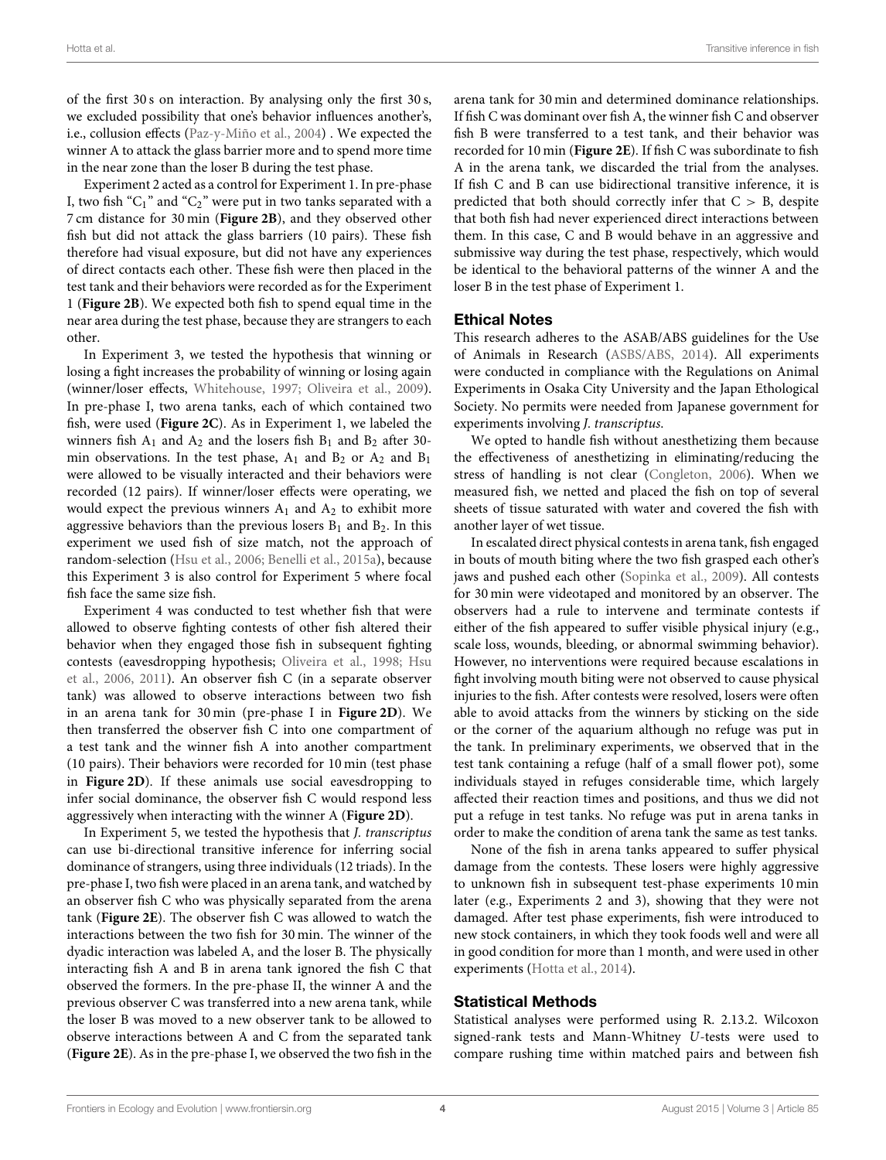of the first 30 s on interaction. By analysing only the first 30 s, we excluded possibility that one's behavior influences another's, i.e., collusion effects [\(Paz-y-Miño et al., 2004\)](#page-8-1) . We expected the winner A to attack the glass barrier more and to spend more time in the near zone than the loser B during the test phase.

Experiment 2 acted as a control for Experiment 1. In pre-phase I, two fish " $C_1$ " and " $C_2$ " were put in two tanks separated with a 7 cm distance for 30 min (**[Figure 2B](#page-2-1)**), and they observed other fish but did not attack the glass barriers (10 pairs). These fish therefore had visual exposure, but did not have any experiences of direct contacts each other. These fish were then placed in the test tank and their behaviors were recorded as for the Experiment 1 (**[Figure 2B](#page-2-1)**). We expected both fish to spend equal time in the near area during the test phase, because they are strangers to each other.

In Experiment 3, we tested the hypothesis that winning or losing a fight increases the probability of winning or losing again (winner/loser effects, [Whitehouse, 1997;](#page-8-7) [Oliveira et al., 2009\)](#page-8-8). In pre-phase I, two arena tanks, each of which contained two fish, were used (**[Figure 2C](#page-2-1)**). As in Experiment 1, we labeled the winners fish  $A_1$  and  $A_2$  and the losers fish  $B_1$  and  $B_2$  after 30min observations. In the test phase,  $A_1$  and  $B_2$  or  $A_2$  and  $B_1$ were allowed to be visually interacted and their behaviors were recorded (12 pairs). If winner/loser effects were operating, we would expect the previous winners  $A_1$  and  $A_2$  to exhibit more aggressive behaviors than the previous losers  $B_1$  and  $B_2$ . In this experiment we used fish of size match, not the approach of random-selection [\(Hsu et al., 2006;](#page-7-1) [Benelli et al., 2015a\)](#page-7-2), because this Experiment 3 is also control for Experiment 5 where focal fish face the same size fish.

Experiment 4 was conducted to test whether fish that were allowed to observe fighting contests of other fish altered their behavior when they engaged those fish in subsequent fighting contests (eavesdropping hypothesis; [Oliveira et al., 1998;](#page-7-4) Hsu et al., [2006,](#page-7-1) [2011\)](#page-7-14). An observer fish C (in a separate observer tank) was allowed to observe interactions between two fish in an arena tank for 30 min (pre-phase I in **[Figure 2D](#page-2-1)**). We then transferred the observer fish C into one compartment of a test tank and the winner fish A into another compartment (10 pairs). Their behaviors were recorded for 10 min (test phase in **[Figure 2D](#page-2-1)**). If these animals use social eavesdropping to infer social dominance, the observer fish C would respond less aggressively when interacting with the winner A (**[Figure 2D](#page-2-1)**).

In Experiment 5, we tested the hypothesis that J. transcriptus can use bi-directional transitive inference for inferring social dominance of strangers, using three individuals (12 triads). In the pre-phase I, two fish were placed in an arena tank, and watched by an observer fish C who was physically separated from the arena tank (**[Figure 2E](#page-2-1)**). The observer fish C was allowed to watch the interactions between the two fish for 30 min. The winner of the dyadic interaction was labeled A, and the loser B. The physically interacting fish A and B in arena tank ignored the fish C that observed the formers. In the pre-phase II, the winner A and the previous observer C was transferred into a new arena tank, while the loser B was moved to a new observer tank to be allowed to observe interactions between A and C from the separated tank (**[Figure 2E](#page-2-1)**). As in the pre-phase I, we observed the two fish in the arena tank for 30 min and determined dominance relationships. If fish C was dominant over fish A, the winner fish C and observer fish B were transferred to a test tank, and their behavior was recorded for 10 min (**[Figure 2E](#page-2-1)**). If fish C was subordinate to fish A in the arena tank, we discarded the trial from the analyses. If fish C and B can use bidirectional transitive inference, it is predicted that both should correctly infer that  $C > B$ , despite that both fish had never experienced direct interactions between them. In this case, C and B would behave in an aggressive and submissive way during the test phase, respectively, which would be identical to the behavioral patterns of the winner A and the loser B in the test phase of Experiment 1.

#### Ethical Notes

This research adheres to the ASAB/ABS guidelines for the Use of Animals in Research [\(ASBS/ABS, 2014\)](#page-6-6). All experiments were conducted in compliance with the Regulations on Animal Experiments in Osaka City University and the Japan Ethological Society. No permits were needed from Japanese government for experiments involving J. transcriptus.

We opted to handle fish without anesthetizing them because the effectiveness of anesthetizing in eliminating/reducing the stress of handling is not clear [\(Congleton, 2006\)](#page-7-24). When we measured fish, we netted and placed the fish on top of several sheets of tissue saturated with water and covered the fish with another layer of wet tissue.

In escalated direct physical contests in arena tank, fish engaged in bouts of mouth biting where the two fish grasped each other's jaws and pushed each other [\(Sopinka et al., 2009\)](#page-8-9). All contests for 30 min were videotaped and monitored by an observer. The observers had a rule to intervene and terminate contests if either of the fish appeared to suffer visible physical injury (e.g., scale loss, wounds, bleeding, or abnormal swimming behavior). However, no interventions were required because escalations in fight involving mouth biting were not observed to cause physical injuries to the fish. After contests were resolved, losers were often able to avoid attacks from the winners by sticking on the side or the corner of the aquarium although no refuge was put in the tank. In preliminary experiments, we observed that in the test tank containing a refuge (half of a small flower pot), some individuals stayed in refuges considerable time, which largely affected their reaction times and positions, and thus we did not put a refuge in test tanks. No refuge was put in arena tanks in order to make the condition of arena tank the same as test tanks.

None of the fish in arena tanks appeared to suffer physical damage from the contests. These losers were highly aggressive to unknown fish in subsequent test-phase experiments 10 min later (e.g., Experiments 2 and 3), showing that they were not damaged. After test phase experiments, fish were introduced to new stock containers, in which they took foods well and were all in good condition for more than 1 month, and were used in other experiments [\(Hotta et al., 2014\)](#page-7-25).

### Statistical Methods

Statistical analyses were performed using R. 2.13.2. Wilcoxon signed-rank tests and Mann-Whitney U-tests were used to compare rushing time within matched pairs and between fish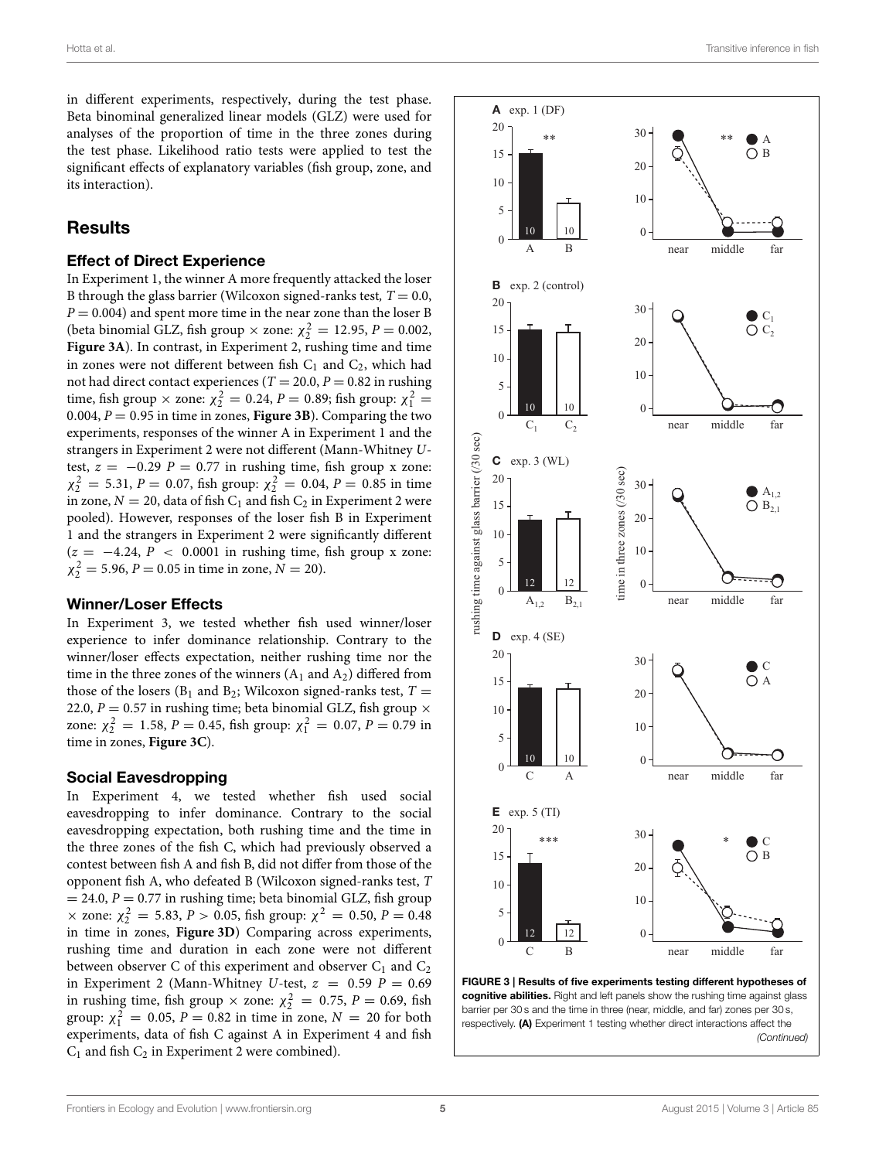in different experiments, respectively, during the test phase. Beta binominal generalized linear models (GLZ) were used for analyses of the proportion of time in the three zones during the test phase. Likelihood ratio tests were applied to test the significant effects of explanatory variables (fish group, zone, and its interaction).

## **Results**

### Effect of Direct Experience

In Experiment 1, the winner A more frequently attacked the loser B through the glass barrier (Wilcoxon signed-ranks test,  $T = 0.0$ ,  $P = 0.004$ ) and spent more time in the near zone than the loser B (beta binomial GLZ, fish group  $\times$  zone:  $\chi_2^2 = 12.95$ ,  $P = 0.002$ , **[Figure 3A](#page-4-0)**). In contrast, in Experiment 2, rushing time and time in zones were not different between fish  $C_1$  and  $C_2$ , which had not had direct contact experiences ( $T = 20.0, P = 0.82$  in rushing time, fish group  $\times$  zone:  $\chi_2^2 = 0.24$ ,  $P = 0.89$ ; fish group:  $\chi_1^2 =$ 0.004,  $P = 0.95$  in time in zones, **[Figure 3B](#page-4-0)**). Comparing the two experiments, responses of the winner A in Experiment 1 and the strangers in Experiment 2 were not different (Mann-Whitney Utest,  $z = -0.29$  P = 0.77 in rushing time, fish group x zone:  $\chi_2^2 = 5.31, P = 0.07$ , fish group:  $\chi_2^2 = 0.04, P = 0.85$  in time in zone,  $N = 20$ , data of fish  $C_1$  and fish  $C_2$  in Experiment 2 were pooled). However, responses of the loser fish B in Experiment 1 and the strangers in Experiment 2 were significantly different  $(z = -4.24, P < 0.0001$  in rushing time, fish group x zone:  $\chi_2^2 = 5.96, P = 0.05$  in time in zone,  $N = 20$ ).

### Winner/Loser Effects

In Experiment 3, we tested whether fish used winner/loser experience to infer dominance relationship. Contrary to the winner/loser effects expectation, neither rushing time nor the time in the three zones of the winners  $(A_1 \text{ and } A_2)$  differed from those of the losers ( $B_1$  and  $B_2$ ; Wilcoxon signed-ranks test,  $T =$ 22.0,  $P = 0.57$  in rushing time; beta binomial GLZ, fish group  $\times$ zone:  $\chi_2^2 = 1.58$ ,  $P = 0.45$ , fish group:  $\chi_1^2 = 0.07$ ,  $P = 0.79$  in time in zones, **[Figure 3C](#page-4-0)**).

#### Social Eavesdropping

In Experiment 4, we tested whether fish used social eavesdropping to infer dominance. Contrary to the social eavesdropping expectation, both rushing time and the time in the three zones of the fish C, which had previously observed a contest between fish A and fish B, did not differ from those of the opponent fish A, who defeated B (Wilcoxon signed-ranks test, T  $= 24.0, P = 0.77$  in rushing time; beta binomial GLZ, fish group  $\times$  zone:  $\chi^2$  = 5.83, P > 0.05, fish group:  $\chi^2$  = 0.50, P = 0.48 in time in zones, **[Figure 3D](#page-4-0)**) Comparing across experiments, rushing time and duration in each zone were not different between observer C of this experiment and observer  $C_1$  and  $C_2$ in Experiment 2 (Mann-Whitney U-test,  $z = 0.59$   $P = 0.69$ in rushing time, fish group  $\times$  zone:  $\chi^2$  = 0.75, P = 0.69, fish group:  $\chi_1^2 = 0.05$ ,  $P = 0.82$  in time in zone,  $N = 20$  for both experiments, data of fish C against A in Experiment 4 and fish  $C_1$  and fish  $C_2$  in Experiment 2 were combined).



<span id="page-4-0"></span>FIGURE 3 | Results of five experiments testing different hypotheses of cognitive abilities. Right and left panels show the rushing time against glass barrier per 30 s and the time in three (near, middle, and far) zones per 30 s, respectively. (A) Experiment 1 testing whether direct interactions affect the *(Continued)*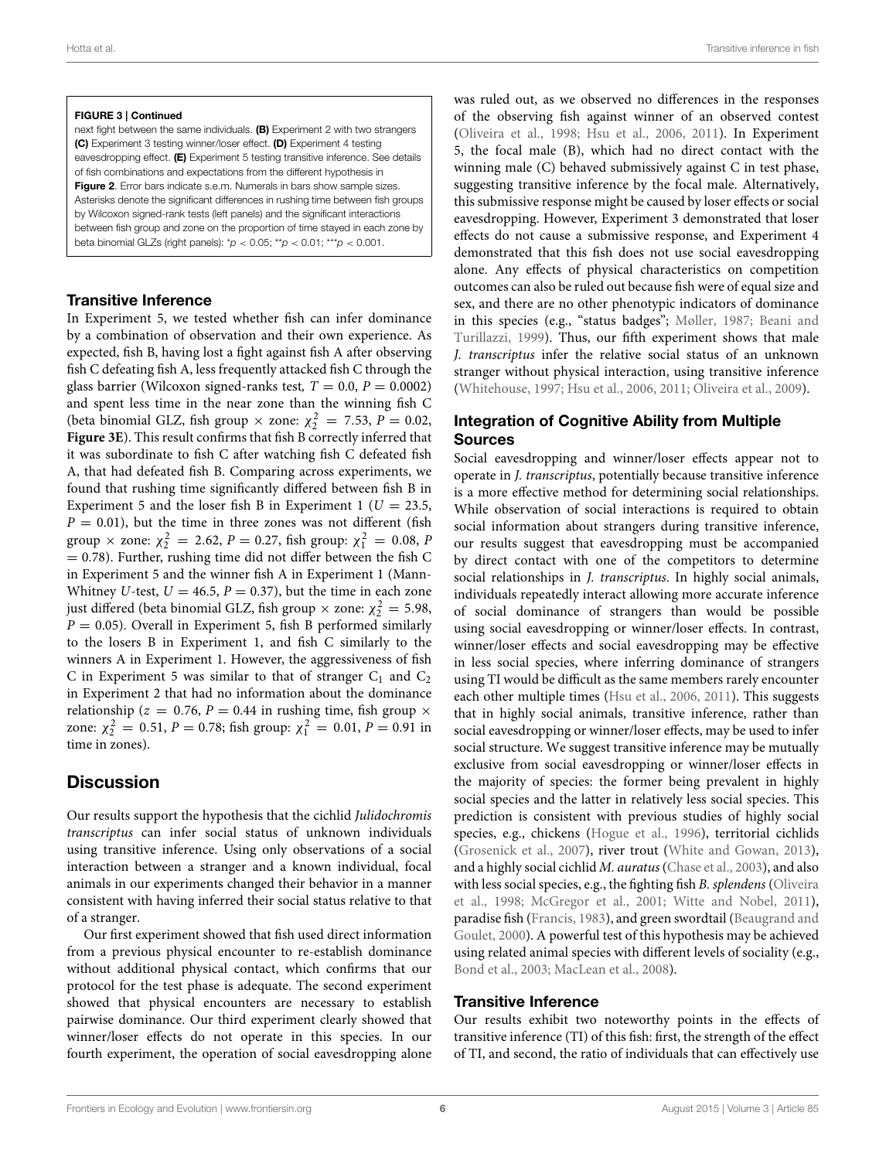#### FIGURE 3 | Continued

next fight between the same individuals. (B) Experiment 2 with two strangers (C) Experiment 3 testing winner/loser effect. (D) Experiment 4 testing eavesdropping effect. (E) Experiment 5 testing transitive inference. See details of fish combinations and expectations from the different hypothesis in [Figure 2](#page-2-1). Error bars indicate s.e.m. Numerals in bars show sample sizes. Asterisks denote the significant differences in rushing time between fish groups by Wilcoxon signed-rank tests (left panels) and the significant interactions between fish group and zone on the proportion of time stayed in each zone by beta binomial GLZs (right panels): \**p* < 0.05; \*\**p* < 0.01; \*\*\**p* < 0.001.

### Transitive Inference

In Experiment 5, we tested whether fish can infer dominance by a combination of observation and their own experience. As expected, fish B, having lost a fight against fish A after observing fish C defeating fish A, less frequently attacked fish C through the glass barrier (Wilcoxon signed-ranks test,  $T = 0.0$ ,  $P = 0.0002$ ) and spent less time in the near zone than the winning fish C (beta binomial GLZ, fish group  $\times$  zone:  $\chi^2$  = 7.53, P = 0.02, **[Figure 3E](#page-4-0)**). This result confirms that fish B correctly inferred that it was subordinate to fish C after watching fish C defeated fish A, that had defeated fish B. Comparing across experiments, we found that rushing time significantly differed between fish B in Experiment 5 and the loser fish B in Experiment 1 ( $U = 23.5$ ,  $P = 0.01$ ), but the time in three zones was not different (fish group  $\times$  zone:  $\chi_2^2 = 2.62$ ,  $P = 0.27$ , fish group:  $\chi_1^2 = 0.08$ , P  $= 0.78$ ). Further, rushing time did not differ between the fish C in Experiment 5 and the winner fish A in Experiment 1 (Mann-Whitney U-test,  $U = 46.5$ ,  $P = 0.37$ ), but the time in each zone just differed (beta binomial GLZ, fish group  $\times$  zone:  $\chi_2^2 = 5.98$ ,  $P = 0.05$ ). Overall in Experiment 5, fish B performed similarly to the losers B in Experiment 1, and fish C similarly to the winners A in Experiment 1. However, the aggressiveness of fish C in Experiment 5 was similar to that of stranger  $C_1$  and  $C_2$ in Experiment 2 that had no information about the dominance relationship ( $z = 0.76$ ,  $P = 0.44$  in rushing time, fish group  $\times$ zone:  $\chi_2^2 = 0.51$ ,  $P = 0.78$ ; fish group:  $\chi_1^2 = 0.01$ ,  $P = 0.91$  in time in zones).

# **Discussion**

Our results support the hypothesis that the cichlid Julidochromis transcriptus can infer social status of unknown individuals using transitive inference. Using only observations of a social interaction between a stranger and a known individual, focal animals in our experiments changed their behavior in a manner consistent with having inferred their social status relative to that of a stranger.

Our first experiment showed that fish used direct information from a previous physical encounter to re-establish dominance without additional physical contact, which confirms that our protocol for the test phase is adequate. The second experiment showed that physical encounters are necessary to establish pairwise dominance. Our third experiment clearly showed that winner/loser effects do not operate in this species. In our fourth experiment, the operation of social eavesdropping alone was ruled out, as we observed no differences in the responses of the observing fish against winner of an observed contest [\(Oliveira et al., 1998;](#page-7-4) [Hsu et al., 2006,](#page-7-1) [2011\)](#page-7-14). In Experiment 5, the focal male (B), which had no direct contact with the winning male (C) behaved submissively against C in test phase, suggesting transitive inference by the focal male. Alternatively, this submissive response might be caused by loser effects or social eavesdropping. However, Experiment 3 demonstrated that loser effects do not cause a submissive response, and Experiment 4 demonstrated that this fish does not use social eavesdropping alone. Any effects of physical characteristics on competition outcomes can also be ruled out because fish were of equal size and sex, and there are no other phenotypic indicators of dominance in this species (e.g., "status badges"; [Møller, 1987;](#page-7-26) Beani and Turillazzi, [1999\)](#page-7-27). Thus, our fifth experiment shows that male J. transcriptus infer the relative social status of an unknown stranger without physical interaction, using transitive inference [\(Whitehouse, 1997;](#page-8-7) [Hsu et al., 2006,](#page-7-1) [2011;](#page-7-14) [Oliveira et al., 2009\)](#page-8-8).

### Integration of Cognitive Ability from Multiple Sources

Social eavesdropping and winner/loser effects appear not to operate in J. transcriptus, potentially because transitive inference is a more effective method for determining social relationships. While observation of social interactions is required to obtain social information about strangers during transitive inference, our results suggest that eavesdropping must be accompanied by direct contact with one of the competitors to determine social relationships in *J. transcriptus*. In highly social animals, individuals repeatedly interact allowing more accurate inference of social dominance of strangers than would be possible using social eavesdropping or winner/loser effects. In contrast, winner/loser effects and social eavesdropping may be effective in less social species, where inferring dominance of strangers using TI would be difficult as the same members rarely encounter each other multiple times [\(Hsu et al., 2006,](#page-7-1) [2011\)](#page-7-14). This suggests that in highly social animals, transitive inference, rather than social eavesdropping or winner/loser effects, may be used to infer social structure. We suggest transitive inference may be mutually exclusive from social eavesdropping or winner/loser effects in the majority of species: the former being prevalent in highly social species and the latter in relatively less social species. This prediction is consistent with previous studies of highly social species, e.g., chickens [\(Hogue et al., 1996\)](#page-7-8), territorial cichlids [\(Grosenick et al., 2007\)](#page-7-10), river trout [\(White and Gowan, 2013\)](#page-8-0), and a highly social cichlid M. auratus [\(Chase et al., 2003\)](#page-7-15), and also with less social species, e.g., the fighting fish B. splendens (Oliveira et al., [1998;](#page-7-4) [McGregor et al., 2001;](#page-7-16) [Witte and Nobel, 2011\)](#page-8-10), paradise fish [\(Francis, 1983\)](#page-7-28), and green swordtail (Beaugrand and Goulet, [2000\)](#page-7-29). A powerful test of this hypothesis may be achieved using related animal species with different levels of sociality (e.g., [Bond et al., 2003;](#page-7-13) [MacLean et al., 2008\)](#page-7-11).

### Transitive Inference

Our results exhibit two noteworthy points in the effects of transitive inference (TI) of this fish: first, the strength of the effect of TI, and second, the ratio of individuals that can effectively use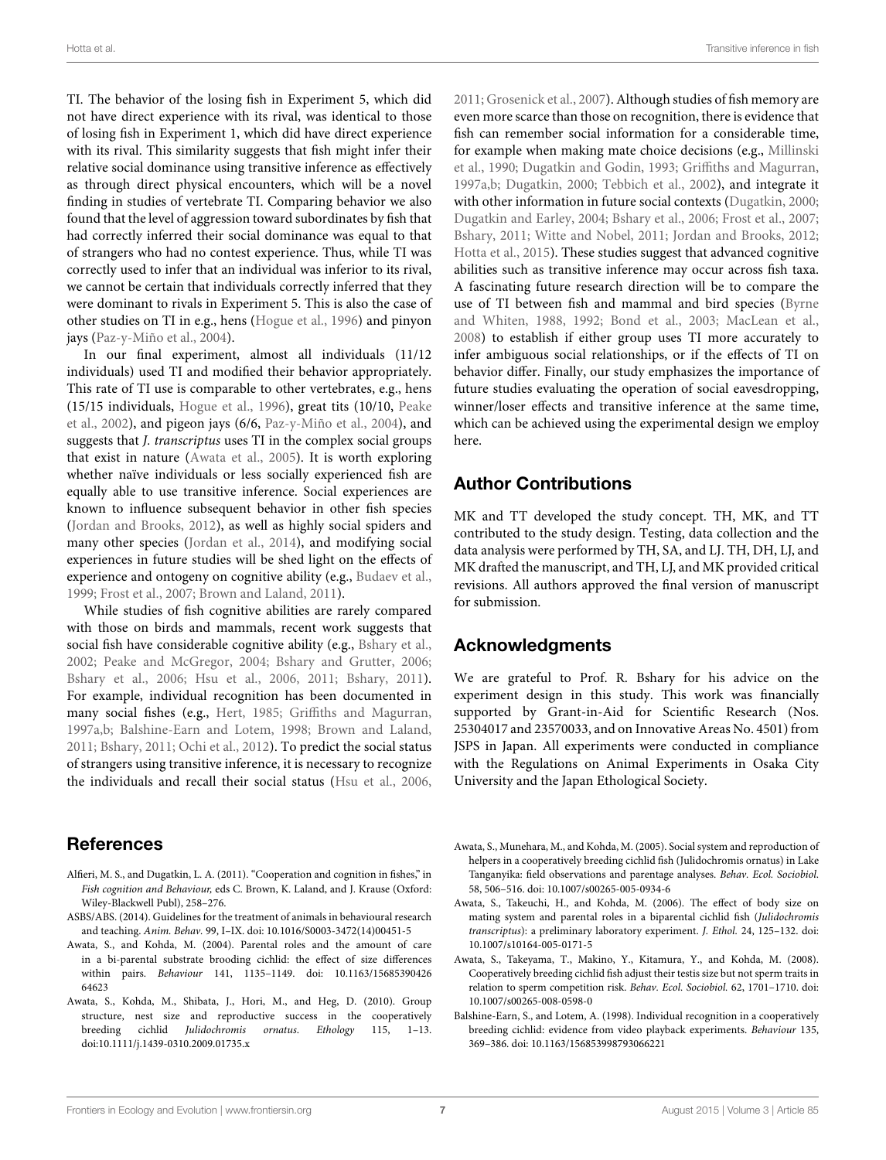TI. The behavior of the losing fish in Experiment 5, which did not have direct experience with its rival, was identical to those of losing fish in Experiment 1, which did have direct experience with its rival. This similarity suggests that fish might infer their relative social dominance using transitive inference as effectively as through direct physical encounters, which will be a novel finding in studies of vertebrate TI. Comparing behavior we also found that the level of aggression toward subordinates by fish that had correctly inferred their social dominance was equal to that of strangers who had no contest experience. Thus, while TI was correctly used to infer that an individual was inferior to its rival, we cannot be certain that individuals correctly inferred that they were dominant to rivals in Experiment 5. This is also the case of other studies on TI in e.g., hens [\(Hogue et al., 1996\)](#page-7-8) and pinyon jays [\(Paz-y-Miño et al., 2004\)](#page-8-1).

In our final experiment, almost all individuals (11/12 individuals) used TI and modified their behavior appropriately. This rate of TI use is comparable to other vertebrates, e.g., hens (15/15 individuals, [Hogue et al., 1996\)](#page-7-8), great tits (10/10, Peake et al., [2002\)](#page-8-3), and pigeon jays (6/6, [Paz-y-Miño et al., 2004\)](#page-8-1), and suggests that J. transcriptus uses TI in the complex social groups that exist in nature [\(Awata et al., 2005\)](#page-6-2). It is worth exploring whether naïve individuals or less socially experienced fish are equally able to use transitive inference. Social experiences are known to influence subsequent behavior in other fish species [\(Jordan and Brooks, 2012\)](#page-7-30), as well as highly social spiders and many other species [\(Jordan et al., 2014\)](#page-7-31), and modifying social experiences in future studies will be shed light on the effects of experience and ontogeny on cognitive ability (e.g., [Budaev et al.,](#page-7-32) [1999;](#page-7-32) [Frost et al., 2007;](#page-7-33) [Brown and Laland, 2011\)](#page-7-17).

While studies of fish cognitive abilities are rarely compared with those on birds and mammals, recent work suggests that social fish have considerable cognitive ability (e.g., [Bshary et al.,](#page-7-18) [2002;](#page-7-18) [Peake and McGregor, 2004;](#page-8-4) [Bshary and Grutter, 2006;](#page-7-34) [Bshary et al., 2006;](#page-7-35) [Hsu et al., 2006,](#page-7-1) [2011;](#page-7-14) [Bshary, 2011\)](#page-7-20). For example, individual recognition has been documented in many social fishes (e.g., [Hert, 1985;](#page-7-36) [Griffiths and Magurran,](#page-7-37) [1997a](#page-7-37)[,b;](#page-7-38) [Balshine-Earn and Lotem, 1998;](#page-6-7) [Brown and Laland,](#page-7-17) [2011;](#page-7-17) [Bshary, 2011;](#page-7-20) [Ochi et al., 2012\)](#page-7-39). To predict the social status of strangers using transitive inference, it is necessary to recognize the individuals and recall their social status [\(Hsu et al., 2006,](#page-7-1)

# **References**

- <span id="page-6-1"></span>Alfieri, M. S., and Dugatkin, L. A. (2011). "Cooperation and cognition in fishes," in Fish cognition and Behaviour, eds C. Brown, K. Laland, and J. Krause (Oxford: Wiley-Blackwell Publ), 258–276.
- <span id="page-6-6"></span>ASBS/ABS. (2014). Guidelines for the treatment of animals in behavioural research and teaching. Anim. Behav. 99, I–IX. doi: 10.1016/S0003-3472(14)00451-5
- <span id="page-6-0"></span>Awata, S., and Kohda, M. (2004). Parental roles and the amount of care in a bi-parental substrate brooding cichlid: the effect of size differences within pairs. Behaviour 141, 1135–1149. doi: 10.1163/15685390426 64623
- <span id="page-6-5"></span>Awata, S., Kohda, M., Shibata, J., Hori, M., and Heg, D. (2010). Group structure, nest size and reproductive success in the cooperatively breeding cichlid Julidochromis ornatus. Ethology 115, 1–13. doi:10.1111/j.1439-0310.2009.01735.x

[2011;](#page-7-14) [Grosenick et al., 2007\)](#page-7-10). Although studies of fish memory are even more scarce than those on recognition, there is evidence that fish can remember social information for a considerable time, for example when making mate choice decisions (e.g., Millinski et al., [1990;](#page-7-40) [Dugatkin and Godin, 1993;](#page-7-41) [Griffiths and Magurran,](#page-7-37) [1997a](#page-7-37)[,b;](#page-7-38) [Dugatkin, 2000;](#page-7-42) [Tebbich et al., 2002\)](#page-8-11), and integrate it with other information in future social contexts [\(Dugatkin, 2000;](#page-7-42) [Dugatkin and Earley, 2004;](#page-7-43) [Bshary et al., 2006;](#page-7-35) [Frost et al., 2007;](#page-7-33) [Bshary, 2011;](#page-7-20) [Witte and Nobel, 2011;](#page-8-10) [Jordan and Brooks, 2012;](#page-7-30) [Hotta et al., 2015\)](#page-7-44). These studies suggest that advanced cognitive abilities such as transitive inference may occur across fish taxa. A fascinating future research direction will be to compare the use of TI between fish and mammal and bird species (Byrne and Whiten, [1988,](#page-7-7) [1992;](#page-7-45) [Bond et al., 2003;](#page-7-13) [MacLean et al.,](#page-7-11) [2008\)](#page-7-11) to establish if either group uses TI more accurately to infer ambiguous social relationships, or if the effects of TI on behavior differ. Finally, our study emphasizes the importance of future studies evaluating the operation of social eavesdropping, winner/loser effects and transitive inference at the same time, which can be achieved using the experimental design we employ here.

# Author Contributions

MK and TT developed the study concept. TH, MK, and TT contributed to the study design. Testing, data collection and the data analysis were performed by TH, SA, and LJ. TH, DH, LJ, and MK drafted the manuscript, and TH, LJ, and MK provided critical revisions. All authors approved the final version of manuscript for submission.

# Acknowledgments

We are grateful to Prof. R. Bshary for his advice on the experiment design in this study. This work was financially supported by Grant-in-Aid for Scientific Research (Nos. 25304017 and 23570033, and on Innovative Areas No. 4501) from JSPS in Japan. All experiments were conducted in compliance with the Regulations on Animal Experiments in Osaka City University and the Japan Ethological Society.

- <span id="page-6-2"></span>Awata, S., Munehara, M., and Kohda, M. (2005). Social system and reproduction of helpers in a cooperatively breeding cichlid fish (Julidochromis ornatus) in Lake Tanganyika: field observations and parentage analyses. Behav. Ecol. Sociobiol. 58, 506–516. doi: 10.1007/s00265-005-0934-6
- <span id="page-6-3"></span>Awata, S., Takeuchi, H., and Kohda, M. (2006). The effect of body size on mating system and parental roles in a biparental cichlid fish (Julidochromis transcriptus): a preliminary laboratory experiment. J. Ethol. 24, 125–132. doi: 10.1007/s10164-005-0171-5
- <span id="page-6-4"></span>Awata, S., Takeyama, T., Makino, Y., Kitamura, Y., and Kohda, M. (2008). Cooperatively breeding cichlid fish adjust their testis size but not sperm traits in relation to sperm competition risk. Behav. Ecol. Sociobiol. 62, 1701–1710. doi: 10.1007/s00265-008-0598-0
- <span id="page-6-7"></span>Balshine-Earn, S., and Lotem, A. (1998). Individual recognition in a cooperatively breeding cichlid: evidence from video playback experiments. Behaviour 135, 369–386. doi: 10.1163/156853998793066221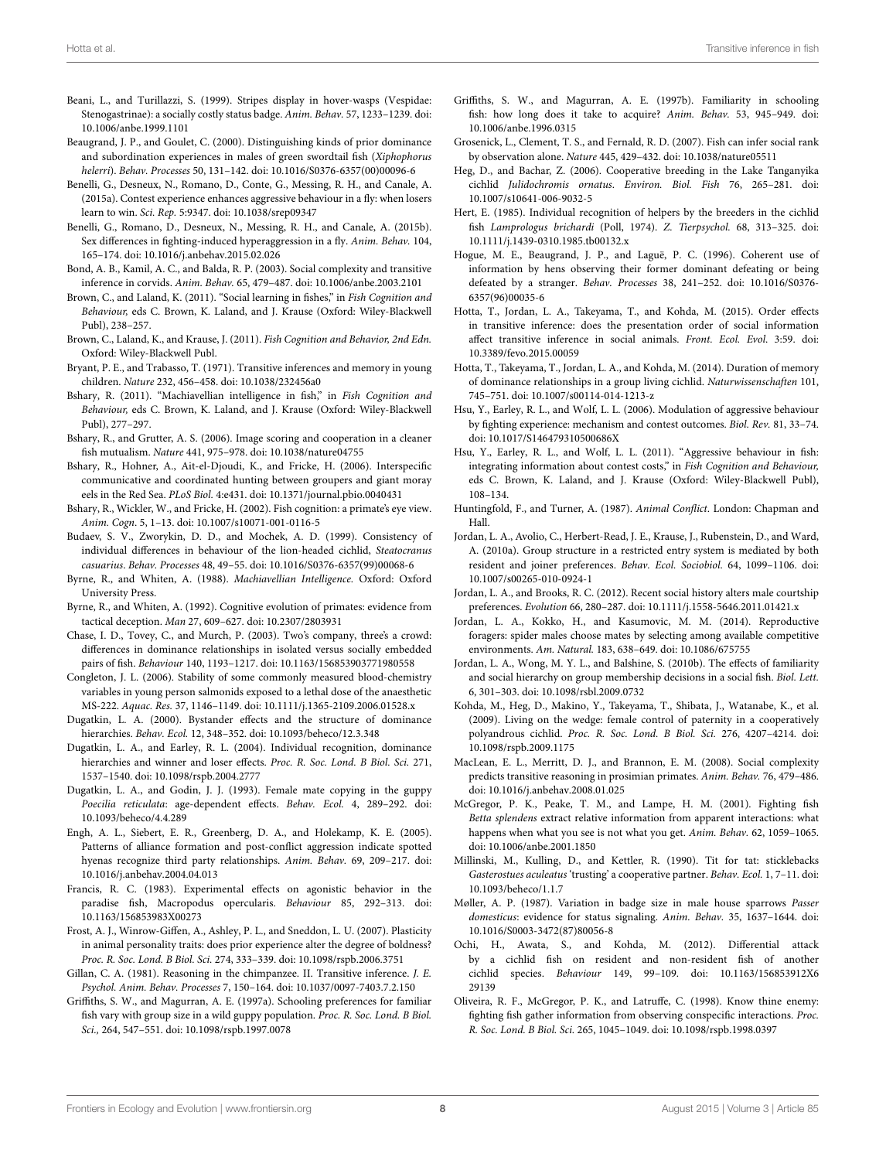- <span id="page-7-27"></span>Beani, L., and Turillazzi, S. (1999). Stripes display in hover-wasps (Vespidae: Stenogastrinae): a socially costly status badge. Anim. Behav. 57, 1233–1239. doi: 10.1006/anbe.1999.1101
- <span id="page-7-29"></span>Beaugrand, J. P., and Goulet, C. (2000). Distinguishing kinds of prior dominance and subordination experiences in males of green swordtail fish (Xiphophorus helerri). Behav. Processes 50, 131–142. doi: 10.1016/S0376-6357(00)00096-6
- <span id="page-7-2"></span>Benelli, G., Desneux, N., Romano, D., Conte, G., Messing, R. H., and Canale, A. (2015a). Contest experience enhances aggressive behaviour in a fly: when losers learn to win. Sci. Rep. 5:9347. doi: 10.1038/srep09347
- <span id="page-7-3"></span>Benelli, G., Romano, D., Desneux, N., Messing, R. H., and Canale, A. (2015b). Sex differences in fighting-induced hyperaggression in a fly. Anim. Behav. 104, 165–174. doi: 10.1016/j.anbehav.2015.02.026
- <span id="page-7-13"></span>Bond, A. B., Kamil, A. C., and Balda, R. P. (2003). Social complexity and transitive inference in corvids. Anim. Behav. 65, 479–487. doi: 10.1006/anbe.2003.2101
- <span id="page-7-17"></span>Brown, C., and Laland, K. (2011). "Social learning in fishes," in Fish Cognition and Behaviour, eds C. Brown, K. Laland, and J. Krause (Oxford: Wiley-Blackwell Publ), 238–257.
- <span id="page-7-19"></span>Brown, C., Laland, K., and Krause, J. (2011). Fish Cognition and Behavior, 2nd Edn. Oxford: Wiley-Blackwell Publ.
- <span id="page-7-23"></span>Bryant, P. E., and Trabasso, T. (1971). Transitive inferences and memory in young children. Nature 232, 456–458. doi: 10.1038/232456a0
- <span id="page-7-20"></span>Bshary, R. (2011). "Machiavellian intelligence in fish," in Fish Cognition and Behaviour, eds C. Brown, K. Laland, and J. Krause (Oxford: Wiley-Blackwell Publ), 277–297.
- <span id="page-7-34"></span>Bshary, R., and Grutter, A. S. (2006). Image scoring and cooperation in a cleaner fish mutualism. Nature 441, 975–978. doi: 10.1038/nature04755
- <span id="page-7-35"></span>Bshary, R., Hohner, A., Ait-el-Djoudi, K., and Fricke, H. (2006). Interspecific communicative and coordinated hunting between groupers and giant moray eels in the Red Sea. PLoS Biol. 4:e431. doi: 10.1371/journal.pbio.0040431
- <span id="page-7-18"></span>Bshary, R., Wickler, W., and Fricke, H. (2002). Fish cognition: a primate's eye view. Anim. Cogn. 5, 1–13. doi: 10.1007/s10071-001-0116-5
- <span id="page-7-32"></span>Budaev, S. V., Zworykin, D. D., and Mochek, A. D. (1999). Consistency of individual differences in behaviour of the lion-headed cichlid, Steatocranus casuarius. Behav. Processes 48, 49–55. doi: 10.1016/S0376-6357(99)00068-6
- <span id="page-7-7"></span>Byrne, R., and Whiten, A. (1988). Machiavellian Intelligence. Oxford: Oxford University Press.
- <span id="page-7-45"></span>Byrne, R., and Whiten, A. (1992). Cognitive evolution of primates: evidence from tactical deception. Man 27, 609–627. doi: 10.2307/2803931
- <span id="page-7-15"></span>Chase, I. D., Tovey, C., and Murch, P. (2003). Two's company, three's a crowd: differences in dominance relationships in isolated versus socially embedded pairs of fish. Behaviour 140, 1193–1217. doi: 10.1163/156853903771980558
- <span id="page-7-24"></span>Congleton, J. L. (2006). Stability of some commonly measured blood-chemistry variables in young person salmonids exposed to a lethal dose of the anaesthetic MS-222. Aquac. Res. 37, 1146–1149. doi: 10.1111/j.1365-2109.2006.01528.x
- <span id="page-7-42"></span>Dugatkin, L. A. (2000). Bystander effects and the structure of dominance hierarchies. Behav. Ecol. 12, 348–352. doi: 10.1093/beheco/12.3.348
- <span id="page-7-43"></span>Dugatkin, L. A., and Earley, R. L. (2004). Individual recognition, dominance hierarchies and winner and loser effects. Proc. R. Soc. Lond. B Biol. Sci. 271, 1537–1540. doi: 10.1098/rspb.2004.2777
- <span id="page-7-41"></span>Dugatkin, L. A., and Godin, J. J. (1993). Female mate copying in the guppy Poecilia reticulata: age-dependent effects. Behav. Ecol. 4, 289–292. doi: 10.1093/beheco/4.4.289
- <span id="page-7-9"></span>Engh, A. L., Siebert, E. R., Greenberg, D. A., and Holekamp, K. E. (2005). Patterns of alliance formation and post-conflict aggression indicate spotted hyenas recognize third party relationships. Anim. Behav. 69, 209–217. doi: 10.1016/j.anbehav.2004.04.013
- <span id="page-7-28"></span>Francis, R. C. (1983). Experimental effects on agonistic behavior in the paradise fish, Macropodus opercularis. Behaviour 85, 292–313. doi: 10.1163/156853983X00273
- <span id="page-7-33"></span>Frost, A. J., Winrow-Giffen, A., Ashley, P. L., and Sneddon, L. U. (2007). Plasticity in animal personality traits: does prior experience alter the degree of boldness? Proc. R. Soc. Lond. B Biol. Sci. 274, 333–339. doi: 10.1098/rspb.2006.3751
- <span id="page-7-12"></span>Gillan, C. A. (1981). Reasoning in the chimpanzee. II. Transitive inference. J. E. Psychol. Anim. Behav. Processes 7, 150–164. doi: 10.1037/0097-7403.7.2.150
- <span id="page-7-37"></span>Griffiths, S. W., and Magurran, A. E. (1997a). Schooling preferences for familiar fish vary with group size in a wild guppy population. Proc. R. Soc. Lond. B Biol. Sci., 264, 547–551. doi: 10.1098/rspb.1997.0078
- <span id="page-7-38"></span>Griffiths, S. W., and Magurran, A. E. (1997b). Familiarity in schooling fish: how long does it take to acquire? Anim. Behav. 53, 945–949. doi: 10.1006/anbe.1996.0315
- <span id="page-7-10"></span>Grosenick, L., Clement, T. S., and Fernald, R. D. (2007). Fish can infer social rank by observation alone. Nature 445, 429–432. doi: 10.1038/nature05511
- <span id="page-7-21"></span>Heg, D., and Bachar, Z. (2006). Cooperative breeding in the Lake Tanganyika cichlid Julidochromis ornatus. Environ. Biol. Fish 76, 265–281. doi: 10.1007/s10641-006-9032-5
- <span id="page-7-36"></span>Hert, E. (1985). Individual recognition of helpers by the breeders in the cichlid fish Lamprologus brichardi (Poll, 1974). Z. Tierpsychol. 68, 313–325. doi: 10.1111/j.1439-0310.1985.tb00132.x
- <span id="page-7-8"></span>Hogue, M. E., Beaugrand, J. P., and Laguë, P. C. (1996). Coherent use of information by hens observing their former dominant defeating or being defeated by a stranger. Behav. Processes 38, 241–252. doi: 10.1016/S0376- 6357(96)00035-6
- <span id="page-7-44"></span>Hotta, T., Jordan, L. A., Takeyama, T., and Kohda, M. (2015). Order effects in transitive inference: does the presentation order of social information affect transitive inference in social animals. Front. Ecol. Evol. 3:59. doi: 10.3389/fevo.2015.00059
- <span id="page-7-25"></span>Hotta, T., Takeyama, T., Jordan, L. A., and Kohda, M. (2014). Duration of memory of dominance relationships in a group living cichlid. Naturwissenschaften 101, 745–751. doi: 10.1007/s00114-014-1213-z
- <span id="page-7-1"></span>Hsu, Y., Earley, R. L., and Wolf, L. L. (2006). Modulation of aggressive behaviour by fighting experience: mechanism and contest outcomes. Biol. Rev. 81, 33–74. doi: 10.1017/S146479310500686X
- <span id="page-7-14"></span>Hsu, Y., Earley, R. L., and Wolf, L. L. (2011). "Aggressive behaviour in fish: integrating information about contest costs," in Fish Cognition and Behaviour, eds C. Brown, K. Laland, and J. Krause (Oxford: Wiley-Blackwell Publ), 108–134.
- <span id="page-7-0"></span>Huntingfold, F., and Turner, A. (1987). Animal Conflict. London: Chapman and Hall.
- <span id="page-7-5"></span>Jordan, L. A., Avolio, C., Herbert-Read, J. E., Krause, J., Rubenstein, D., and Ward, A. (2010a). Group structure in a restricted entry system is mediated by both resident and joiner preferences. Behav. Ecol. Sociobiol. 64, 1099–1106. doi: 10.1007/s00265-010-0924-1
- <span id="page-7-30"></span>Jordan, L. A., and Brooks, R. C. (2012). Recent social history alters male courtship preferences. Evolution 66, 280–287. doi: 10.1111/j.1558-5646.2011.01421.x
- <span id="page-7-31"></span>Jordan, L. A., Kokko, H., and Kasumovic, M. M. (2014). Reproductive foragers: spider males choose mates by selecting among available competitive environments. Am. Natural. 183, 638–649. doi: 10.1086/675755
- <span id="page-7-6"></span>Jordan, L. A., Wong, M. Y. L., and Balshine, S. (2010b). The effects of familiarity and social hierarchy on group membership decisions in a social fish. Biol. Lett. 6, 301–303. doi: 10.1098/rsbl.2009.0732
- <span id="page-7-22"></span>Kohda, M., Heg, D., Makino, Y., Takeyama, T., Shibata, J., Watanabe, K., et al. (2009). Living on the wedge: female control of paternity in a cooperatively polyandrous cichlid. Proc. R. Soc. Lond. B Biol. Sci. 276, 4207–4214. doi: 10.1098/rspb.2009.1175
- <span id="page-7-11"></span>MacLean, E. L., Merritt, D. J., and Brannon, E. M. (2008). Social complexity predicts transitive reasoning in prosimian primates. Anim. Behav. 76, 479–486. doi: 10.1016/j.anbehav.2008.01.025
- <span id="page-7-16"></span>McGregor, P. K., Peake, T. M., and Lampe, H. M. (2001). Fighting fish Betta splendens extract relative information from apparent interactions: what happens when what you see is not what you get. Anim. Behav. 62, 1059–1065. doi: 10.1006/anbe.2001.1850
- <span id="page-7-40"></span>Millinski, M., Kulling, D., and Kettler, R. (1990). Tit for tat: sticklebacks Gasterostues aculeatus 'trusting' a cooperative partner. Behav. Ecol. 1, 7–11. doi: 10.1093/beheco/1.1.7
- <span id="page-7-26"></span>Møller, A. P. (1987). Variation in badge size in male house sparrows Passer domesticus: evidence for status signaling. Anim. Behav. 35, 1637–1644. doi: 10.1016/S0003-3472(87)80056-8
- <span id="page-7-39"></span>Ochi, H., Awata, S., and Kohda, M. (2012). Differential attack by a cichlid fish on resident and non-resident fish of another cichlid species. Behaviour 149, 99–109. doi: 10.1163/156853912X6 29139
- <span id="page-7-4"></span>Oliveira, R. F., McGregor, P. K., and Latruffe, C. (1998). Know thine enemy: fighting fish gather information from observing conspecific interactions. Proc. R. Soc. Lond. B Biol. Sci. 265, 1045–1049. doi: 10.1098/rspb.1998.0397